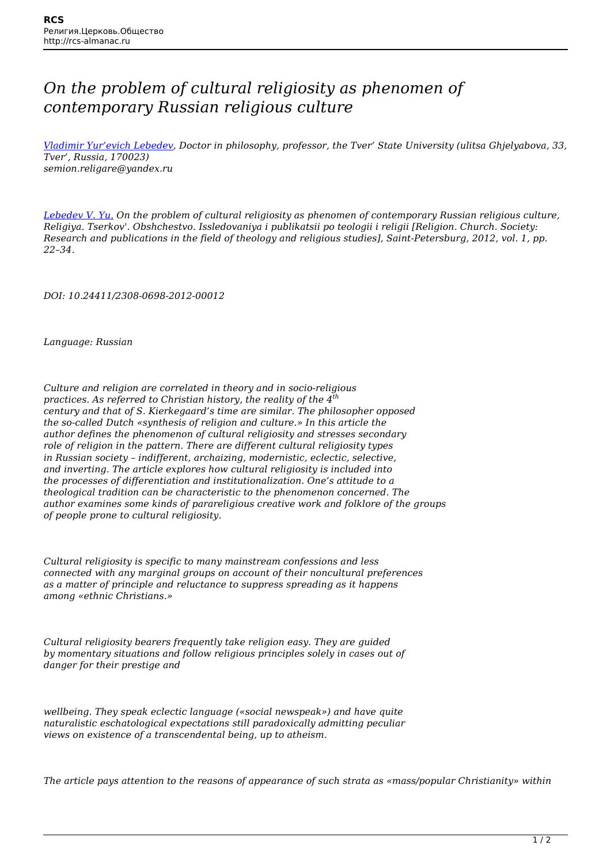## *On the problem of cultural religiosity as phenomen of contemporary Russian religious culture*

*[Vladimir Yur'evich Lebedev,](http://rcs-almanac.ru/en/tag/vladimir-yurevich-lebedev/) Doctor in philosophy, professor, the Tver' State University (ulitsa Ghjelyabova, 33, Tver', Russia, 170023) semion.religare@yandex.ru*

*[Lebedev V. Yu.](http://rcs-almanac.ru/en/tag/lebedev-v-y/) On the problem of cultural religiosity as phenomen of contemporary Russian religious culture, Religiya. Tserkov'. Obshchestvo. Issledovaniya i publikatsii po teologii i religii [Religion. Church. Society: Research and publications in the field of theology and religious studies], Saint-Petersburg, 2012, vol. 1, pp. 22–34.*

*DOI: 10.24411/2308-0698-2012-00012*

*Language: Russian*

*Culture and religion are correlated in theory and in socio-religious practices. As referred to Christian history, the reality of the 4th century and that of S. Kierkegaard's time are similar. The philosopher opposed the so-called Dutch «synthesis of religion and culture.» In this article the author defines the phenomenon of cultural religiosity and stresses secondary role of religion in the pattern. There are different cultural religiosity types in Russian society – indifferent, archaizing, modernistic, eclectic, selective, and inverting. The article explores how cultural religiosity is included into the processes of differentiation and institutionalization. One's attitude to a theological tradition can be characteristic to the phenomenon concerned. The author examines some kinds of parareligious creative work and folklore of the groups of people prone to cultural religiosity.*

*Cultural religiosity is specific to many mainstream confessions and less connected with any marginal groups on account of their noncultural preferences as a matter of principle and reluctance to suppress spreading as it happens among «ethnic Christians.»*

*Cultural religiosity bearers frequently take religion easy. They are guided by momentary situations and follow religious principles solely in cases out of danger for their prestige and*

*wellbeing. They speak eclectic language («social newspeak») and have quite naturalistic eschatological expectations still paradoxically admitting peculiar views on existence of a transcendental being, up to atheism.*

*The article pays attention to the reasons of appearance of such strata as «mass/popular Christianity» within*